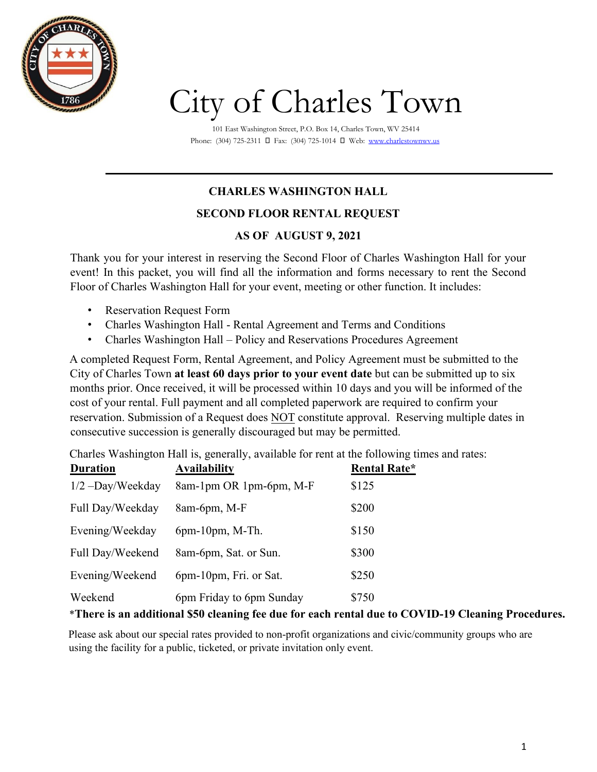

# City of Charles Town

101 East Washington Street, P.O. Box 14, Charles Town, WV 25414 Phone: (304) 725-2311 **□** Fax: (304) 725-1014 **□** We[b: www.charlestownwv.us](http://www.charlestownwv.us/)

## **CHARLES WASHINGTON HALL**

#### **SECOND FLOOR RENTAL REQUEST**

#### **AS OF AUGUST 9, 2021**

Thank you for your interest in reserving the Second Floor of Charles Washington Hall for your event! In this packet, you will find all the information and forms necessary to rent the Second Floor of Charles Washington Hall for your event, meeting or other function. It includes:

- Reservation Request Form
- Charles Washington Hall Rental Agreement and Terms and Conditions
- Charles Washington Hall Policy and Reservations Procedures Agreement

A completed Request Form, Rental Agreement, and Policy Agreement must be submitted to the City of Charles Town **at least 60 days prior to your event date** but can be submitted up to six months prior. Once received, it will be processed within 10 days and you will be informed of the cost of your rental. Full payment and all completed paperwork are required to confirm your reservation. Submission of a Request does NOT constitute approval. Reserving multiple dates in consecutive succession is generally discouraged but may be permitted.

Charles Washington Hall is, generally, available for rent at the following times and rates:

| <b>Duration</b>                                                                            | <b>Availability</b>      | <b>Rental Rate*</b> |  |  |
|--------------------------------------------------------------------------------------------|--------------------------|---------------------|--|--|
| $1/2 - Day/We$ ekday                                                                       | 8am-1pm OR 1pm-6pm, M-F  | \$125               |  |  |
| Full Day/Weekday                                                                           | 8am-6pm, M-F             | \$200               |  |  |
| Evening/Weekday                                                                            | $6pm-10pm$ , M-Th.       | \$150               |  |  |
| Full Day/Weekend                                                                           | 8am-6pm, Sat. or Sun.    | \$300               |  |  |
| Evening/Weekend                                                                            | 6pm-10pm, Fri. or Sat.   | \$250               |  |  |
| Weekend                                                                                    | 6pm Friday to 6pm Sunday | \$750               |  |  |
| $*$ There is an additional $\mathbb{C}^0$ clearing fee due for each wortel due to COVID 10 |                          |                     |  |  |

#### \***There is an additional \$50 cleaning fee due for each rental due to COVID-19 Cleaning Procedures.**

Please ask about our special rates provided to non-profit organizations and civic/community groups who are using the facility for a public, ticketed, or private invitation only event.